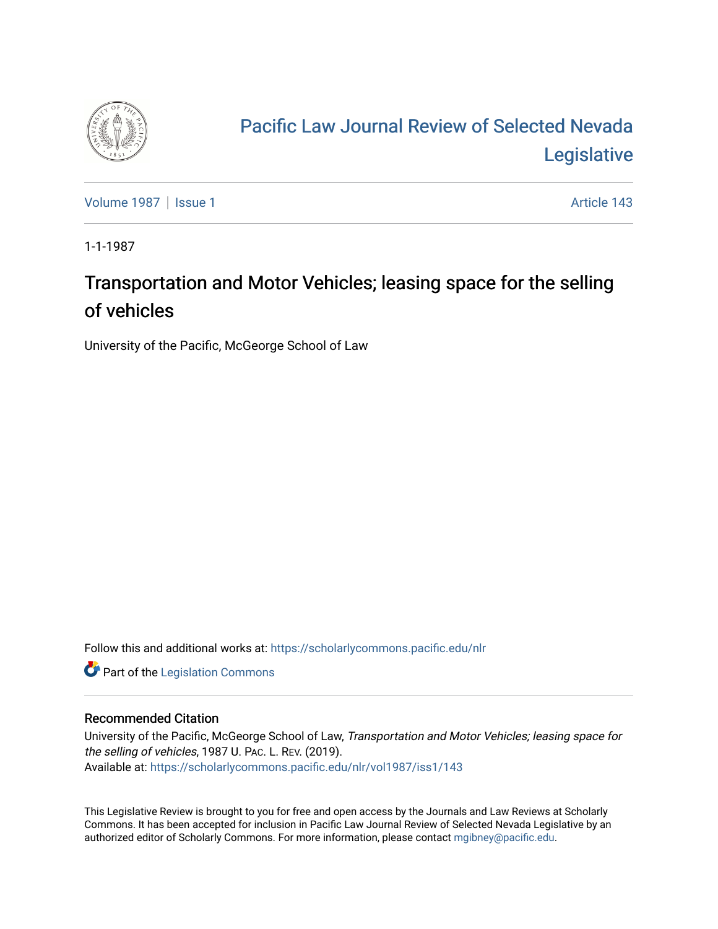

## [Pacific Law Journal Review of Selected Nevada](https://scholarlycommons.pacific.edu/nlr)  [Legislative](https://scholarlycommons.pacific.edu/nlr)

[Volume 1987](https://scholarlycommons.pacific.edu/nlr/vol1987) | [Issue 1](https://scholarlycommons.pacific.edu/nlr/vol1987/iss1) Article 143

1-1-1987

## Transportation and Motor Vehicles; leasing space for the selling of vehicles

University of the Pacific, McGeorge School of Law

Follow this and additional works at: [https://scholarlycommons.pacific.edu/nlr](https://scholarlycommons.pacific.edu/nlr?utm_source=scholarlycommons.pacific.edu%2Fnlr%2Fvol1987%2Fiss1%2F143&utm_medium=PDF&utm_campaign=PDFCoverPages) 

**Part of the [Legislation Commons](http://network.bepress.com/hgg/discipline/859?utm_source=scholarlycommons.pacific.edu%2Fnlr%2Fvol1987%2Fiss1%2F143&utm_medium=PDF&utm_campaign=PDFCoverPages)** 

## Recommended Citation

University of the Pacific, McGeorge School of Law, Transportation and Motor Vehicles; leasing space for the selling of vehicles, 1987 U. PAC. L. REV. (2019). Available at: [https://scholarlycommons.pacific.edu/nlr/vol1987/iss1/143](https://scholarlycommons.pacific.edu/nlr/vol1987/iss1/143?utm_source=scholarlycommons.pacific.edu%2Fnlr%2Fvol1987%2Fiss1%2F143&utm_medium=PDF&utm_campaign=PDFCoverPages) 

This Legislative Review is brought to you for free and open access by the Journals and Law Reviews at Scholarly Commons. It has been accepted for inclusion in Pacific Law Journal Review of Selected Nevada Legislative by an authorized editor of Scholarly Commons. For more information, please contact [mgibney@pacific.edu](mailto:mgibney@pacific.edu).